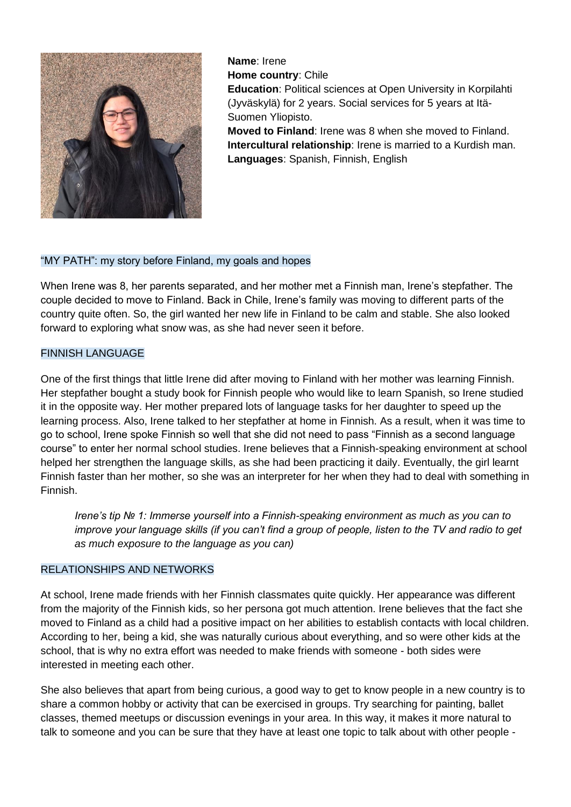

**Name**: Irene **Home country**: Chile **Education**: Political sciences at Open University in Korpilahti (Jyväskylä) for 2 years. Social services for 5 years at Itä-Suomen Yliopisto. **Moved to Finland**: Irene was 8 when she moved to Finland. **Intercultural relationship**: Irene is married to a Kurdish man. **Languages**: Spanish, Finnish, English

## "MY PATH": my story before Finland, my goals and hopes

When Irene was 8, her parents separated, and her mother met a Finnish man, Irene's stepfather. The couple decided to move to Finland. Back in Chile, Irene's family was moving to different parts of the country quite often. So, the girl wanted her new life in Finland to be calm and stable. She also looked forward to exploring what snow was, as she had never seen it before.

### FINNISH LANGUAGE

One of the first things that little Irene did after moving to Finland with her mother was learning Finnish. Her stepfather bought a study book for Finnish people who would like to learn Spanish, so Irene studied it in the opposite way. Her mother prepared lots of language tasks for her daughter to speed up the learning process. Also, Irene talked to her stepfather at home in Finnish. As a result, when it was time to go to school, Irene spoke Finnish so well that she did not need to pass "Finnish as a second language course" to enter her normal school studies. Irene believes that a Finnish-speaking environment at school helped her strengthen the language skills, as she had been practicing it daily. Eventually, the girl learnt Finnish faster than her mother, so she was an interpreter for her when they had to deal with something in Finnish.

*Irene's tip № 1: Immerse yourself into a Finnish-speaking environment as much as you can to improve your language skills (if you can't find a group of people, listen to the TV and radio to get as much exposure to the language as you can)*

# RELATIONSHIPS AND NETWORKS

At school, Irene made friends with her Finnish classmates quite quickly. Her appearance was different from the majority of the Finnish kids, so her persona got much attention. Irene believes that the fact she moved to Finland as a child had a positive impact on her abilities to establish contacts with local children. According to her, being a kid, she was naturally curious about everything, and so were other kids at the school, that is why no extra effort was needed to make friends with someone - both sides were interested in meeting each other.

She also believes that apart from being curious, a good way to get to know people in a new country is to share a common hobby or activity that can be exercised in groups. Try searching for painting, ballet classes, themed meetups or discussion evenings in your area. In this way, it makes it more natural to talk to someone and you can be sure that they have at least one topic to talk about with other people -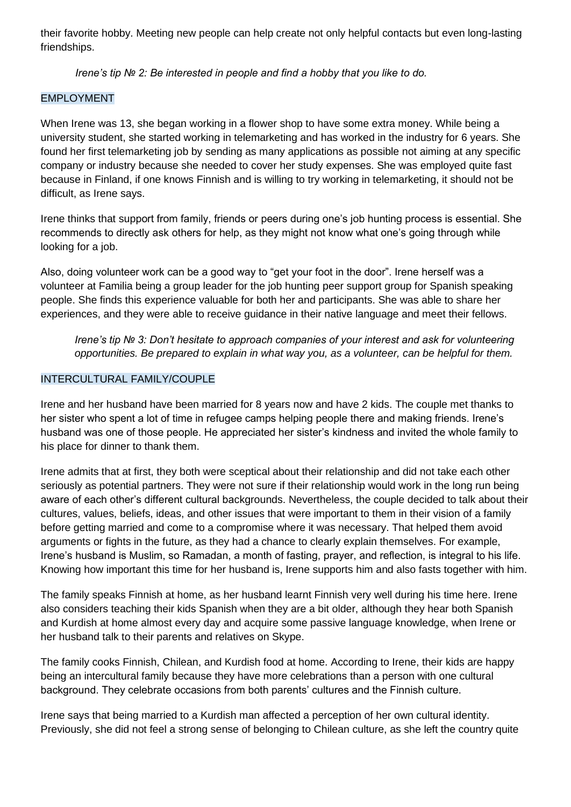their favorite hobby. Meeting new people can help create not only helpful contacts but even long-lasting friendships.

*Irene's tip № 2: Be interested in people and find a hobby that you like to do.*

### EMPLOYMENT

When Irene was 13, she began working in a flower shop to have some extra money. While being a university student, she started working in telemarketing and has worked in the industry for 6 years. She found her first telemarketing job by sending as many applications as possible not aiming at any specific company or industry because she needed to cover her study expenses. She was employed quite fast because in Finland, if one knows Finnish and is willing to try working in telemarketing, it should not be difficult, as Irene says.

Irene thinks that support from family, friends or peers during one's job hunting process is essential. She recommends to directly ask others for help, as they might not know what one's going through while looking for a job.

Also, doing volunteer work can be a good way to "get your foot in the door". Irene herself was a volunteer at Familia being a group leader for the job hunting peer support group for Spanish speaking people. She finds this experience valuable for both her and participants. She was able to share her experiences, and they were able to receive guidance in their native language and meet their fellows.

*Irene's tip № 3: Don't hesitate to approach companies of your interest and ask for volunteering opportunities. Be prepared to explain in what way you, as a volunteer, can be helpful for them.*

#### INTERCULTURAL FAMILY/COUPLE

Irene and her husband have been married for 8 years now and have 2 kids. The couple met thanks to her sister who spent a lot of time in refugee camps helping people there and making friends. Irene's husband was one of those people. He appreciated her sister's kindness and invited the whole family to his place for dinner to thank them.

Irene admits that at first, they both were sceptical about their relationship and did not take each other seriously as potential partners. They were not sure if their relationship would work in the long run being aware of each other's different cultural backgrounds. Nevertheless, the couple decided to talk about their cultures, values, beliefs, ideas, and other issues that were important to them in their vision of a family before getting married and come to a compromise where it was necessary. That helped them avoid arguments or fights in the future, as they had a chance to clearly explain themselves. For example, Irene's husband is Muslim, so Ramadan, a month of fasting, prayer, and reflection, is integral to his life. Knowing how important this time for her husband is, Irene supports him and also fasts together with him.

The family speaks Finnish at home, as her husband learnt Finnish very well during his time here. Irene also considers teaching their kids Spanish when they are a bit older, although they hear both Spanish and Kurdish at home almost every day and acquire some passive language knowledge, when Irene or her husband talk to their parents and relatives on Skype.

The family cooks Finnish, Chilean, and Kurdish food at home. According to Irene, their kids are happy being an intercultural family because they have more celebrations than a person with one cultural background. They celebrate occasions from both parents' cultures and the Finnish culture.

Irene says that being married to a Kurdish man affected a perception of her own cultural identity. Previously, she did not feel a strong sense of belonging to Chilean culture, as she left the country quite